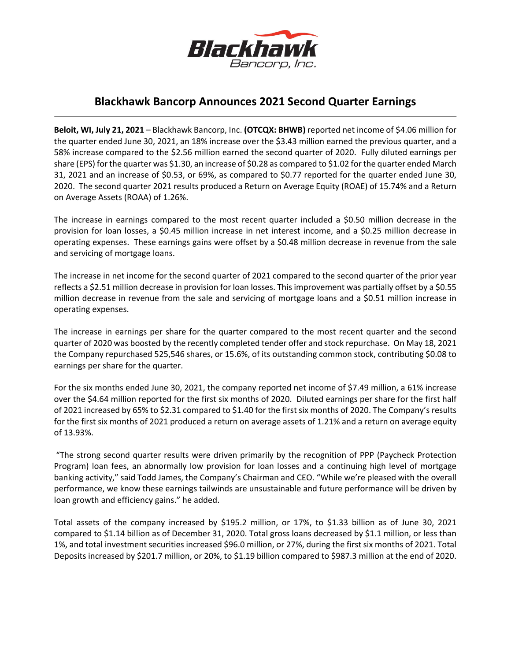

# **Blackhawk Bancorp Announces 2021 Second Quarter Earnings**

**Beloit, WI, July 21, 2021** – Blackhawk Bancorp, Inc. **(OTCQX: BHWB)** reported net income of \$4.06 million for the quarter ended June 30, 2021, an 18% increase over the \$3.43 million earned the previous quarter, and a 58% increase compared to the \$2.56 million earned the second quarter of 2020. Fully diluted earnings per share (EPS) for the quarter was \$1.30, an increase of \$0.28 as compared to \$1.02 for the quarter ended March 31, 2021 and an increase of \$0.53, or 69%, as compared to \$0.77 reported for the quarter ended June 30, 2020. The second quarter 2021 results produced a Return on Average Equity (ROAE) of 15.74% and a Return on Average Assets (ROAA) of 1.26%.

The increase in earnings compared to the most recent quarter included a \$0.50 million decrease in the provision for loan losses, a \$0.45 million increase in net interest income, and a \$0.25 million decrease in operating expenses. These earnings gains were offset by a \$0.48 million decrease in revenue from the sale and servicing of mortgage loans.

The increase in net income for the second quarter of 2021 compared to the second quarter of the prior year reflects a \$2.51 million decrease in provision for loan losses. This improvement was partially offset by a \$0.55 million decrease in revenue from the sale and servicing of mortgage loans and a \$0.51 million increase in operating expenses.

The increase in earnings per share for the quarter compared to the most recent quarter and the second quarter of 2020 was boosted by the recently completed tender offer and stock repurchase. On May 18, 2021 the Company repurchased 525,546 shares, or 15.6%, of its outstanding common stock, contributing \$0.08 to earnings per share for the quarter.

For the six months ended June 30, 2021, the company reported net income of \$7.49 million, a 61% increase over the \$4.64 million reported for the first six months of 2020. Diluted earnings per share for the first half of 2021 increased by 65% to \$2.31 compared to \$1.40 for the first six months of 2020. The Company's results for the first six months of 2021 produced a return on average assets of 1.21% and a return on average equity of 13.93%.

"The strong second quarter results were driven primarily by the recognition of PPP (Paycheck Protection Program) loan fees, an abnormally low provision for loan losses and a continuing high level of mortgage banking activity," said Todd James, the Company's Chairman and CEO. "While we're pleased with the overall performance, we know these earnings tailwinds are unsustainable and future performance will be driven by loan growth and efficiency gains." he added.

Total assets of the company increased by \$195.2 million, or 17%, to \$1.33 billion as of June 30, 2021 compared to \$1.14 billion as of December 31, 2020. Total gross loans decreased by \$1.1 million, or less than 1%, and total investment securities increased \$96.0 million, or 27%, during the first six months of 2021. Total Deposits increased by \$201.7 million, or 20%, to \$1.19 billion compared to \$987.3 million at the end of 2020.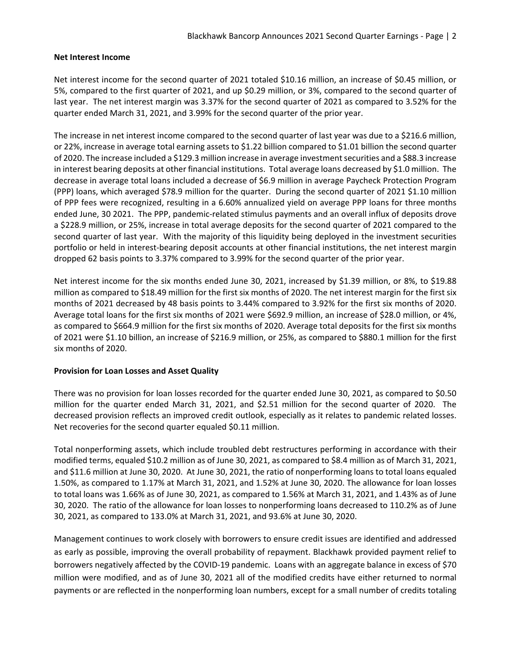## **Net Interest Income**

Net interest income for the second quarter of 2021 totaled \$10.16 million, an increase of \$0.45 million, or 5%, compared to the first quarter of 2021, and up \$0.29 million, or 3%, compared to the second quarter of last year. The net interest margin was 3.37% for the second quarter of 2021 as compared to 3.52% for the quarter ended March 31, 2021, and 3.99% for the second quarter of the prior year.

The increase in net interest income compared to the second quarter of last year was due to a \$216.6 million, or 22%, increase in average total earning assets to \$1.22 billion compared to \$1.01 billion the second quarter of 2020. The increase included a \$129.3 million increase in average investmentsecurities and a \$88.3 increase in interest bearing deposits at other financial institutions. Total average loans decreased by \$1.0 million. The decrease in average total loans included a decrease of \$6.9 million in average Paycheck Protection Program (PPP) loans, which averaged \$78.9 million for the quarter. During the second quarter of 2021 \$1.10 million of PPP fees were recognized, resulting in a 6.60% annualized yield on average PPP loans for three months ended June, 30 2021. The PPP, pandemic-related stimulus payments and an overall influx of deposits drove a \$228.9 million, or 25%, increase in total average deposits for the second quarter of 2021 compared to the second quarter of last year. With the majority of this liquidity being deployed in the investment securities portfolio or held in interest-bearing deposit accounts at other financial institutions, the net interest margin dropped 62 basis points to 3.37% compared to 3.99% for the second quarter of the prior year.

Net interest income for the six months ended June 30, 2021, increased by \$1.39 million, or 8%, to \$19.88 million as compared to \$18.49 million for the first six months of 2020. The net interest margin for the first six months of 2021 decreased by 48 basis points to 3.44% compared to 3.92% for the first six months of 2020. Average total loans for the first six months of 2021 were \$692.9 million, an increase of \$28.0 million, or 4%, as compared to \$664.9 million for the first six months of 2020. Average total deposits for the first six months of 2021 were \$1.10 billion, an increase of \$216.9 million, or 25%, as compared to \$880.1 million for the first six months of 2020.

## **Provision for Loan Losses and Asset Quality**

There was no provision for loan losses recorded for the quarter ended June 30, 2021, as compared to \$0.50 million for the quarter ended March 31, 2021, and \$2.51 million for the second quarter of 2020. The decreased provision reflects an improved credit outlook, especially as it relates to pandemic related losses. Net recoveries for the second quarter equaled \$0.11 million.

Total nonperforming assets, which include troubled debt restructures performing in accordance with their modified terms, equaled \$10.2 million as of June 30, 2021, as compared to \$8.4 million as of March 31, 2021, and \$11.6 million at June 30, 2020. At June 30, 2021, the ratio of nonperforming loans to total loans equaled 1.50%, as compared to 1.17% at March 31, 2021, and 1.52% at June 30, 2020. The allowance for loan losses to total loans was 1.66% as of June 30, 2021, as compared to 1.56% at March 31, 2021, and 1.43% as of June 30, 2020. The ratio of the allowance for loan losses to nonperforming loans decreased to 110.2% as of June 30, 2021, as compared to 133.0% at March 31, 2021, and 93.6% at June 30, 2020.

Management continues to work closely with borrowers to ensure credit issues are identified and addressed as early as possible, improving the overall probability of repayment. Blackhawk provided payment relief to borrowers negatively affected by the COVID-19 pandemic. Loans with an aggregate balance in excess of \$70 million were modified, and as of June 30, 2021 all of the modified credits have either returned to normal payments or are reflected in the nonperforming loan numbers, except for a small number of credits totaling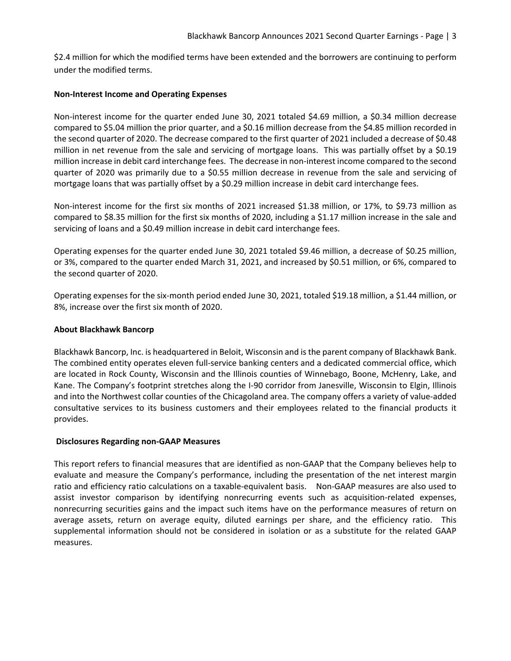\$2.4 million for which the modified terms have been extended and the borrowers are continuing to perform under the modified terms.

## **Non‐Interest Income and Operating Expenses**

Non‐interest income for the quarter ended June 30, 2021 totaled \$4.69 million, a \$0.34 million decrease compared to \$5.04 million the prior quarter, and a \$0.16 million decrease from the \$4.85 million recorded in the second quarter of 2020. The decrease compared to the first quarter of 2021 included a decrease of \$0.48 million in net revenue from the sale and servicing of mortgage loans. This was partially offset by a \$0.19 million increase in debit card interchange fees. The decrease in non-interest income compared to the second quarter of 2020 was primarily due to a \$0.55 million decrease in revenue from the sale and servicing of mortgage loans that was partially offset by a \$0.29 million increase in debit card interchange fees.

Non‐interest income for the first six months of 2021 increased \$1.38 million, or 17%, to \$9.73 million as compared to \$8.35 million for the first six months of 2020, including a \$1.17 million increase in the sale and servicing of loans and a \$0.49 million increase in debit card interchange fees.

Operating expenses for the quarter ended June 30, 2021 totaled \$9.46 million, a decrease of \$0.25 million, or 3%, compared to the quarter ended March 31, 2021, and increased by \$0.51 million, or 6%, compared to the second quarter of 2020.

Operating expenses for the six‐month period ended June 30, 2021, totaled \$19.18 million, a \$1.44 million, or 8%, increase over the first six month of 2020.

## **About Blackhawk Bancorp**

Blackhawk Bancorp, Inc. is headquartered in Beloit, Wisconsin and isthe parent company of Blackhawk Bank. The combined entity operates eleven full‐service banking centers and a dedicated commercial office, which are located in Rock County, Wisconsin and the Illinois counties of Winnebago, Boone, McHenry, Lake, and Kane. The Company's footprint stretches along the I‐90 corridor from Janesville, Wisconsin to Elgin, Illinois and into the Northwest collar counties of the Chicagoland area. The company offers a variety of value‐added consultative services to its business customers and their employees related to the financial products it provides.

## **Disclosures Regarding non‐GAAP Measures**

This report refers to financial measures that are identified as non‐GAAP that the Company believes help to evaluate and measure the Company's performance, including the presentation of the net interest margin ratio and efficiency ratio calculations on a taxable‐equivalent basis. Non‐GAAP measures are also used to assist investor comparison by identifying nonrecurring events such as acquisition‐related expenses, nonrecurring securities gains and the impact such items have on the performance measures of return on average assets, return on average equity, diluted earnings per share, and the efficiency ratio. This supplemental information should not be considered in isolation or as a substitute for the related GAAP measures.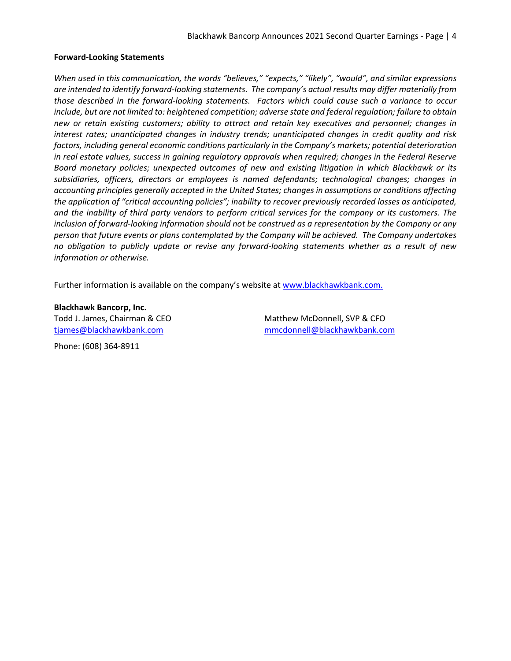## **Forward‐Looking Statements**

*When used in this communication, the words "believes," "expects," "likely", "would", and similar expressions* are intended to identify forward-looking statements. The company's actual results may differ materially from those described in the forward-looking statements. Factors which could cause such a variance to occur *include, but are not limited to: heightened competition; adverse state and federal regulation; failure to obtain new or retain existing customers; ability to attract and retain key executives and personnel; changes in interest rates; unanticipated changes in industry trends; unanticipated changes in credit quality and risk factors, including general economic conditions particularly in the Company's markets; potential deterioration in real estate values, success in gaining regulatory approvals when required; changes in the Federal Reserve Board monetary policies; unexpected outcomes of new and existing litigation in which Blackhawk or its subsidiaries, officers, directors or employees is named defendants; technological changes; changes in accounting principles generally accepted in the United States; changes in assumptions or conditions affecting the application of "critical accounting policies"; inability to recover previously recorded losses as anticipated,* and the inability of third party vendors to perform critical services for the company or its customers. The inclusion of forward-looking information should not be construed as a representation by the Company or any *person that future events or plans contemplated by the Company will be achieved. The Company undertakes* no obligation to publicly update or revise any forward-looking statements whether as a result of new *information or otherwise.* 

Further information is available on the company's website at www.blackhawkbank.com.

**Blackhawk Bancorp, Inc.** 

Todd J. James, Chairman & CEO Matthew McDonnell, SVP & CFO tjames@blackhawkbank.com mmcdonnell@blackhawkbank.com

Phone: (608) 364‐8911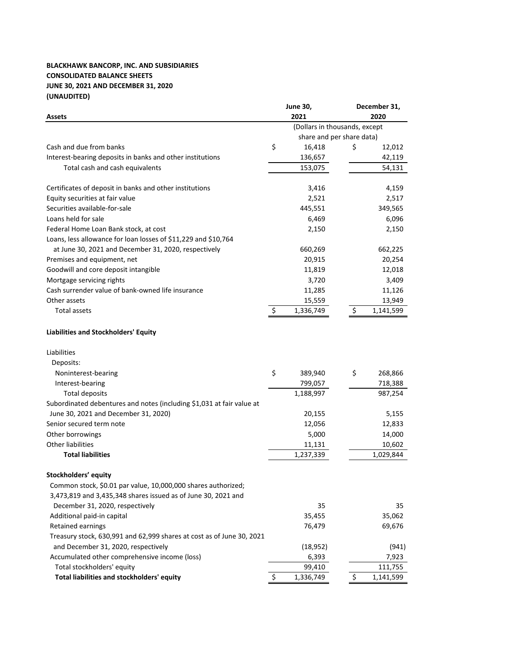## **BLACKHAWK BANCORP, INC. AND SUBSIDIARIES CONSOLIDATED BALANCE SHEETS JUNE 30, 2021 AND DECEMBER 31, 2020 (UNAUDITED)**

| <b>Assets</b>                                                         | <b>June 30,</b><br>2021 | December 31,<br>2020          |  |  |  |  |  |
|-----------------------------------------------------------------------|-------------------------|-------------------------------|--|--|--|--|--|
|                                                                       |                         | (Dollars in thousands, except |  |  |  |  |  |
|                                                                       |                         | share and per share data)     |  |  |  |  |  |
| Cash and due from banks                                               | \$<br>16,418            | \$<br>12,012                  |  |  |  |  |  |
| Interest-bearing deposits in banks and other institutions             | 136,657                 | 42,119                        |  |  |  |  |  |
| Total cash and cash equivalents                                       | 153,075                 | 54,131                        |  |  |  |  |  |
| Certificates of deposit in banks and other institutions               | 3,416                   | 4,159                         |  |  |  |  |  |
| Equity securities at fair value                                       | 2,521                   | 2,517                         |  |  |  |  |  |
| Securities available-for-sale                                         | 445,551                 | 349,565                       |  |  |  |  |  |
| Loans held for sale                                                   | 6,469                   | 6,096                         |  |  |  |  |  |
| Federal Home Loan Bank stock, at cost                                 | 2,150                   | 2,150                         |  |  |  |  |  |
| Loans, less allowance for loan losses of \$11,229 and \$10,764        |                         |                               |  |  |  |  |  |
| at June 30, 2021 and December 31, 2020, respectively                  | 660,269                 | 662,225                       |  |  |  |  |  |
| Premises and equipment, net                                           | 20,915                  | 20,254                        |  |  |  |  |  |
| Goodwill and core deposit intangible                                  | 11,819                  | 12,018                        |  |  |  |  |  |
| Mortgage servicing rights                                             | 3,720                   | 3,409                         |  |  |  |  |  |
| Cash surrender value of bank-owned life insurance                     | 11,285                  | 11,126                        |  |  |  |  |  |
| Other assets                                                          | 15,559                  | 13,949                        |  |  |  |  |  |
| Total assets                                                          | \$<br>1,336,749         | \$<br>1,141,599               |  |  |  |  |  |
| Liabilities and Stockholders' Equity                                  |                         |                               |  |  |  |  |  |
| Liabilities                                                           |                         |                               |  |  |  |  |  |
| Deposits:                                                             |                         |                               |  |  |  |  |  |
| Noninterest-bearing                                                   | \$<br>389,940           | \$<br>268,866                 |  |  |  |  |  |
| Interest-bearing                                                      | 799,057                 | 718,388                       |  |  |  |  |  |
| <b>Total deposits</b>                                                 | 1,188,997               | 987,254                       |  |  |  |  |  |
| Subordinated debentures and notes (including \$1,031 at fair value at |                         |                               |  |  |  |  |  |
| June 30, 2021 and December 31, 2020)                                  | 20,155                  | 5,155                         |  |  |  |  |  |
| Senior secured term note                                              | 12,056                  | 12,833                        |  |  |  |  |  |
| Other borrowings                                                      | 5,000                   | 14,000                        |  |  |  |  |  |
| Other liabilities                                                     | 11,131                  | 10,602                        |  |  |  |  |  |
| <b>Total liabilities</b>                                              | 1,237,339               | 1,029,844                     |  |  |  |  |  |
| Stockholders' equity                                                  |                         |                               |  |  |  |  |  |
| Common stock, \$0.01 par value, 10,000,000 shares authorized;         |                         |                               |  |  |  |  |  |
| 3,473,819 and 3,435,348 shares issued as of June 30, 2021 and         |                         |                               |  |  |  |  |  |
| December 31, 2020, respectively                                       | 35                      | 35                            |  |  |  |  |  |
| Additional paid-in capital                                            | 35,455                  | 35,062                        |  |  |  |  |  |
| Retained earnings                                                     | 76,479                  | 69,676                        |  |  |  |  |  |
| Treasury stock, 630,991 and 62,999 shares at cost as of June 30, 2021 |                         |                               |  |  |  |  |  |
| and December 31, 2020, respectively                                   | (18, 952)               | (941)                         |  |  |  |  |  |
| Accumulated other comprehensive income (loss)                         | 6,393                   | 7,923                         |  |  |  |  |  |
| Total stockholders' equity                                            | 99,410                  | 111,755                       |  |  |  |  |  |
| Total liabilities and stockholders' equity                            | \$<br>1,336,749         | \$<br>1,141,599               |  |  |  |  |  |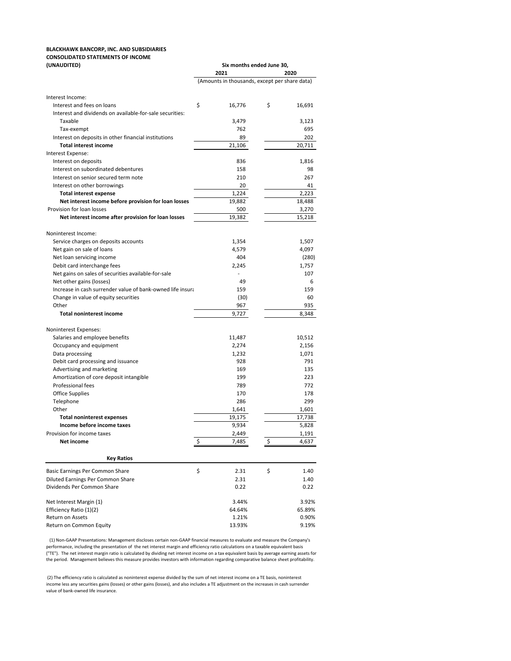## **BLACKHAWK BANCORP, INC. AND SUBSIDIARIES CONSOLIDATED STATEMENTS OF INCOME**

| (Amounts in thousands, except per share data)<br>Interest Income:<br>\$<br>\$<br>Interest and fees on loans<br>16,776<br>16,691<br>Interest and dividends on available-for-sale securities:<br>Taxable<br>3,479<br>3,123<br>762<br>695<br>Tax-exempt<br>Interest on deposits in other financial institutions<br>89<br>202<br><b>Total interest income</b><br>21,106<br>20,711<br>Interest Expense:<br>Interest on deposits<br>836<br>1,816<br>Interest on subordinated debentures<br>158<br>98<br>Interest on senior secured term note<br>210<br>267<br>Interest on other borrowings<br>20<br>41<br>1,224<br>2,223<br><b>Total interest expense</b><br>Net interest income before provision for loan losses<br>19,882<br>18,488<br>Provision for loan losses<br>500<br>3,270<br>Net interest income after provision for loan losses<br>19,382<br>15,218<br>Noninterest Income:<br>Service charges on deposits accounts<br>1,354<br>1,507<br>Net gain on sale of loans<br>4,579<br>4,097<br>Net loan servicing income<br>404<br>(280)<br>Debit card interchange fees<br>1,757<br>2,245<br>Net gains on sales of securities available-for-sale<br>107<br>$\overline{\phantom{m}}$<br>Net other gains (losses)<br>49<br>6<br>Increase in cash surrender value of bank-owned life insura<br>159<br>159<br>Change in value of equity securities<br>60<br>(30)<br>Other<br>967<br>935<br><b>Total noninterest income</b><br>9,727<br>8,348<br>Noninterest Expenses:<br>Salaries and employee benefits<br>11,487<br>10,512<br>Occupancy and equipment<br>2,274<br>2,156<br>1,232<br>1,071<br>Data processing<br>Debit card processing and issuance<br>928<br>791<br>Advertising and marketing<br>169<br>135<br>Amortization of core deposit intangible<br>199<br>223<br>Professional fees<br>789<br>772<br><b>Office Supplies</b><br>170<br>178<br>Telephone<br>286<br>299<br>Other<br>1,601<br>1,641<br>19,175<br>17,738<br><b>Total noninterest expenses</b><br>Income before income taxes<br>9,934<br>5,828<br>2.449<br>1.191<br>Provision for income taxes<br>Net income<br>\$<br>\$<br>7,485<br>4,637<br><b>Key Ratios</b><br>\$<br>\$<br>Basic Earnings Per Common Share<br>2.31<br>1.40<br>Diluted Earnings Per Common Share<br>2.31<br>1.40<br>Dividends Per Common Share<br>0.22<br>0.22<br>Net Interest Margin (1)<br>3.44%<br>3.92%<br>Efficiency Ratio (1)(2)<br>64.64%<br>65.89%<br>Return on Assets<br>1.21%<br>0.90% | (UNAUDITED) | Six months ended June 30,<br>2021<br>2020 |  |  |  |  |  |  |  |  |
|------------------------------------------------------------------------------------------------------------------------------------------------------------------------------------------------------------------------------------------------------------------------------------------------------------------------------------------------------------------------------------------------------------------------------------------------------------------------------------------------------------------------------------------------------------------------------------------------------------------------------------------------------------------------------------------------------------------------------------------------------------------------------------------------------------------------------------------------------------------------------------------------------------------------------------------------------------------------------------------------------------------------------------------------------------------------------------------------------------------------------------------------------------------------------------------------------------------------------------------------------------------------------------------------------------------------------------------------------------------------------------------------------------------------------------------------------------------------------------------------------------------------------------------------------------------------------------------------------------------------------------------------------------------------------------------------------------------------------------------------------------------------------------------------------------------------------------------------------------------------------------------------------------------------------------------------------------------------------------------------------------------------------------------------------------------------------------------------------------------------------------------------------------------------------------------------------------------------------------------------------------------------------------------------------------------------------------------------------------------------------------------------------------------------------|-------------|-------------------------------------------|--|--|--|--|--|--|--|--|
|                                                                                                                                                                                                                                                                                                                                                                                                                                                                                                                                                                                                                                                                                                                                                                                                                                                                                                                                                                                                                                                                                                                                                                                                                                                                                                                                                                                                                                                                                                                                                                                                                                                                                                                                                                                                                                                                                                                                                                                                                                                                                                                                                                                                                                                                                                                                                                                                                              |             |                                           |  |  |  |  |  |  |  |  |
|                                                                                                                                                                                                                                                                                                                                                                                                                                                                                                                                                                                                                                                                                                                                                                                                                                                                                                                                                                                                                                                                                                                                                                                                                                                                                                                                                                                                                                                                                                                                                                                                                                                                                                                                                                                                                                                                                                                                                                                                                                                                                                                                                                                                                                                                                                                                                                                                                              |             |                                           |  |  |  |  |  |  |  |  |
|                                                                                                                                                                                                                                                                                                                                                                                                                                                                                                                                                                                                                                                                                                                                                                                                                                                                                                                                                                                                                                                                                                                                                                                                                                                                                                                                                                                                                                                                                                                                                                                                                                                                                                                                                                                                                                                                                                                                                                                                                                                                                                                                                                                                                                                                                                                                                                                                                              |             |                                           |  |  |  |  |  |  |  |  |
|                                                                                                                                                                                                                                                                                                                                                                                                                                                                                                                                                                                                                                                                                                                                                                                                                                                                                                                                                                                                                                                                                                                                                                                                                                                                                                                                                                                                                                                                                                                                                                                                                                                                                                                                                                                                                                                                                                                                                                                                                                                                                                                                                                                                                                                                                                                                                                                                                              |             |                                           |  |  |  |  |  |  |  |  |
|                                                                                                                                                                                                                                                                                                                                                                                                                                                                                                                                                                                                                                                                                                                                                                                                                                                                                                                                                                                                                                                                                                                                                                                                                                                                                                                                                                                                                                                                                                                                                                                                                                                                                                                                                                                                                                                                                                                                                                                                                                                                                                                                                                                                                                                                                                                                                                                                                              |             |                                           |  |  |  |  |  |  |  |  |
|                                                                                                                                                                                                                                                                                                                                                                                                                                                                                                                                                                                                                                                                                                                                                                                                                                                                                                                                                                                                                                                                                                                                                                                                                                                                                                                                                                                                                                                                                                                                                                                                                                                                                                                                                                                                                                                                                                                                                                                                                                                                                                                                                                                                                                                                                                                                                                                                                              |             |                                           |  |  |  |  |  |  |  |  |
|                                                                                                                                                                                                                                                                                                                                                                                                                                                                                                                                                                                                                                                                                                                                                                                                                                                                                                                                                                                                                                                                                                                                                                                                                                                                                                                                                                                                                                                                                                                                                                                                                                                                                                                                                                                                                                                                                                                                                                                                                                                                                                                                                                                                                                                                                                                                                                                                                              |             |                                           |  |  |  |  |  |  |  |  |
|                                                                                                                                                                                                                                                                                                                                                                                                                                                                                                                                                                                                                                                                                                                                                                                                                                                                                                                                                                                                                                                                                                                                                                                                                                                                                                                                                                                                                                                                                                                                                                                                                                                                                                                                                                                                                                                                                                                                                                                                                                                                                                                                                                                                                                                                                                                                                                                                                              |             |                                           |  |  |  |  |  |  |  |  |
|                                                                                                                                                                                                                                                                                                                                                                                                                                                                                                                                                                                                                                                                                                                                                                                                                                                                                                                                                                                                                                                                                                                                                                                                                                                                                                                                                                                                                                                                                                                                                                                                                                                                                                                                                                                                                                                                                                                                                                                                                                                                                                                                                                                                                                                                                                                                                                                                                              |             |                                           |  |  |  |  |  |  |  |  |
|                                                                                                                                                                                                                                                                                                                                                                                                                                                                                                                                                                                                                                                                                                                                                                                                                                                                                                                                                                                                                                                                                                                                                                                                                                                                                                                                                                                                                                                                                                                                                                                                                                                                                                                                                                                                                                                                                                                                                                                                                                                                                                                                                                                                                                                                                                                                                                                                                              |             |                                           |  |  |  |  |  |  |  |  |
|                                                                                                                                                                                                                                                                                                                                                                                                                                                                                                                                                                                                                                                                                                                                                                                                                                                                                                                                                                                                                                                                                                                                                                                                                                                                                                                                                                                                                                                                                                                                                                                                                                                                                                                                                                                                                                                                                                                                                                                                                                                                                                                                                                                                                                                                                                                                                                                                                              |             |                                           |  |  |  |  |  |  |  |  |
|                                                                                                                                                                                                                                                                                                                                                                                                                                                                                                                                                                                                                                                                                                                                                                                                                                                                                                                                                                                                                                                                                                                                                                                                                                                                                                                                                                                                                                                                                                                                                                                                                                                                                                                                                                                                                                                                                                                                                                                                                                                                                                                                                                                                                                                                                                                                                                                                                              |             |                                           |  |  |  |  |  |  |  |  |
|                                                                                                                                                                                                                                                                                                                                                                                                                                                                                                                                                                                                                                                                                                                                                                                                                                                                                                                                                                                                                                                                                                                                                                                                                                                                                                                                                                                                                                                                                                                                                                                                                                                                                                                                                                                                                                                                                                                                                                                                                                                                                                                                                                                                                                                                                                                                                                                                                              |             |                                           |  |  |  |  |  |  |  |  |
|                                                                                                                                                                                                                                                                                                                                                                                                                                                                                                                                                                                                                                                                                                                                                                                                                                                                                                                                                                                                                                                                                                                                                                                                                                                                                                                                                                                                                                                                                                                                                                                                                                                                                                                                                                                                                                                                                                                                                                                                                                                                                                                                                                                                                                                                                                                                                                                                                              |             |                                           |  |  |  |  |  |  |  |  |
|                                                                                                                                                                                                                                                                                                                                                                                                                                                                                                                                                                                                                                                                                                                                                                                                                                                                                                                                                                                                                                                                                                                                                                                                                                                                                                                                                                                                                                                                                                                                                                                                                                                                                                                                                                                                                                                                                                                                                                                                                                                                                                                                                                                                                                                                                                                                                                                                                              |             |                                           |  |  |  |  |  |  |  |  |
|                                                                                                                                                                                                                                                                                                                                                                                                                                                                                                                                                                                                                                                                                                                                                                                                                                                                                                                                                                                                                                                                                                                                                                                                                                                                                                                                                                                                                                                                                                                                                                                                                                                                                                                                                                                                                                                                                                                                                                                                                                                                                                                                                                                                                                                                                                                                                                                                                              |             |                                           |  |  |  |  |  |  |  |  |
|                                                                                                                                                                                                                                                                                                                                                                                                                                                                                                                                                                                                                                                                                                                                                                                                                                                                                                                                                                                                                                                                                                                                                                                                                                                                                                                                                                                                                                                                                                                                                                                                                                                                                                                                                                                                                                                                                                                                                                                                                                                                                                                                                                                                                                                                                                                                                                                                                              |             |                                           |  |  |  |  |  |  |  |  |
|                                                                                                                                                                                                                                                                                                                                                                                                                                                                                                                                                                                                                                                                                                                                                                                                                                                                                                                                                                                                                                                                                                                                                                                                                                                                                                                                                                                                                                                                                                                                                                                                                                                                                                                                                                                                                                                                                                                                                                                                                                                                                                                                                                                                                                                                                                                                                                                                                              |             |                                           |  |  |  |  |  |  |  |  |
|                                                                                                                                                                                                                                                                                                                                                                                                                                                                                                                                                                                                                                                                                                                                                                                                                                                                                                                                                                                                                                                                                                                                                                                                                                                                                                                                                                                                                                                                                                                                                                                                                                                                                                                                                                                                                                                                                                                                                                                                                                                                                                                                                                                                                                                                                                                                                                                                                              |             |                                           |  |  |  |  |  |  |  |  |
|                                                                                                                                                                                                                                                                                                                                                                                                                                                                                                                                                                                                                                                                                                                                                                                                                                                                                                                                                                                                                                                                                                                                                                                                                                                                                                                                                                                                                                                                                                                                                                                                                                                                                                                                                                                                                                                                                                                                                                                                                                                                                                                                                                                                                                                                                                                                                                                                                              |             |                                           |  |  |  |  |  |  |  |  |
|                                                                                                                                                                                                                                                                                                                                                                                                                                                                                                                                                                                                                                                                                                                                                                                                                                                                                                                                                                                                                                                                                                                                                                                                                                                                                                                                                                                                                                                                                                                                                                                                                                                                                                                                                                                                                                                                                                                                                                                                                                                                                                                                                                                                                                                                                                                                                                                                                              |             |                                           |  |  |  |  |  |  |  |  |
|                                                                                                                                                                                                                                                                                                                                                                                                                                                                                                                                                                                                                                                                                                                                                                                                                                                                                                                                                                                                                                                                                                                                                                                                                                                                                                                                                                                                                                                                                                                                                                                                                                                                                                                                                                                                                                                                                                                                                                                                                                                                                                                                                                                                                                                                                                                                                                                                                              |             |                                           |  |  |  |  |  |  |  |  |
|                                                                                                                                                                                                                                                                                                                                                                                                                                                                                                                                                                                                                                                                                                                                                                                                                                                                                                                                                                                                                                                                                                                                                                                                                                                                                                                                                                                                                                                                                                                                                                                                                                                                                                                                                                                                                                                                                                                                                                                                                                                                                                                                                                                                                                                                                                                                                                                                                              |             |                                           |  |  |  |  |  |  |  |  |
|                                                                                                                                                                                                                                                                                                                                                                                                                                                                                                                                                                                                                                                                                                                                                                                                                                                                                                                                                                                                                                                                                                                                                                                                                                                                                                                                                                                                                                                                                                                                                                                                                                                                                                                                                                                                                                                                                                                                                                                                                                                                                                                                                                                                                                                                                                                                                                                                                              |             |                                           |  |  |  |  |  |  |  |  |
|                                                                                                                                                                                                                                                                                                                                                                                                                                                                                                                                                                                                                                                                                                                                                                                                                                                                                                                                                                                                                                                                                                                                                                                                                                                                                                                                                                                                                                                                                                                                                                                                                                                                                                                                                                                                                                                                                                                                                                                                                                                                                                                                                                                                                                                                                                                                                                                                                              |             |                                           |  |  |  |  |  |  |  |  |
|                                                                                                                                                                                                                                                                                                                                                                                                                                                                                                                                                                                                                                                                                                                                                                                                                                                                                                                                                                                                                                                                                                                                                                                                                                                                                                                                                                                                                                                                                                                                                                                                                                                                                                                                                                                                                                                                                                                                                                                                                                                                                                                                                                                                                                                                                                                                                                                                                              |             |                                           |  |  |  |  |  |  |  |  |
|                                                                                                                                                                                                                                                                                                                                                                                                                                                                                                                                                                                                                                                                                                                                                                                                                                                                                                                                                                                                                                                                                                                                                                                                                                                                                                                                                                                                                                                                                                                                                                                                                                                                                                                                                                                                                                                                                                                                                                                                                                                                                                                                                                                                                                                                                                                                                                                                                              |             |                                           |  |  |  |  |  |  |  |  |
|                                                                                                                                                                                                                                                                                                                                                                                                                                                                                                                                                                                                                                                                                                                                                                                                                                                                                                                                                                                                                                                                                                                                                                                                                                                                                                                                                                                                                                                                                                                                                                                                                                                                                                                                                                                                                                                                                                                                                                                                                                                                                                                                                                                                                                                                                                                                                                                                                              |             |                                           |  |  |  |  |  |  |  |  |
|                                                                                                                                                                                                                                                                                                                                                                                                                                                                                                                                                                                                                                                                                                                                                                                                                                                                                                                                                                                                                                                                                                                                                                                                                                                                                                                                                                                                                                                                                                                                                                                                                                                                                                                                                                                                                                                                                                                                                                                                                                                                                                                                                                                                                                                                                                                                                                                                                              |             |                                           |  |  |  |  |  |  |  |  |
|                                                                                                                                                                                                                                                                                                                                                                                                                                                                                                                                                                                                                                                                                                                                                                                                                                                                                                                                                                                                                                                                                                                                                                                                                                                                                                                                                                                                                                                                                                                                                                                                                                                                                                                                                                                                                                                                                                                                                                                                                                                                                                                                                                                                                                                                                                                                                                                                                              |             |                                           |  |  |  |  |  |  |  |  |
|                                                                                                                                                                                                                                                                                                                                                                                                                                                                                                                                                                                                                                                                                                                                                                                                                                                                                                                                                                                                                                                                                                                                                                                                                                                                                                                                                                                                                                                                                                                                                                                                                                                                                                                                                                                                                                                                                                                                                                                                                                                                                                                                                                                                                                                                                                                                                                                                                              |             |                                           |  |  |  |  |  |  |  |  |
|                                                                                                                                                                                                                                                                                                                                                                                                                                                                                                                                                                                                                                                                                                                                                                                                                                                                                                                                                                                                                                                                                                                                                                                                                                                                                                                                                                                                                                                                                                                                                                                                                                                                                                                                                                                                                                                                                                                                                                                                                                                                                                                                                                                                                                                                                                                                                                                                                              |             |                                           |  |  |  |  |  |  |  |  |
|                                                                                                                                                                                                                                                                                                                                                                                                                                                                                                                                                                                                                                                                                                                                                                                                                                                                                                                                                                                                                                                                                                                                                                                                                                                                                                                                                                                                                                                                                                                                                                                                                                                                                                                                                                                                                                                                                                                                                                                                                                                                                                                                                                                                                                                                                                                                                                                                                              |             |                                           |  |  |  |  |  |  |  |  |
|                                                                                                                                                                                                                                                                                                                                                                                                                                                                                                                                                                                                                                                                                                                                                                                                                                                                                                                                                                                                                                                                                                                                                                                                                                                                                                                                                                                                                                                                                                                                                                                                                                                                                                                                                                                                                                                                                                                                                                                                                                                                                                                                                                                                                                                                                                                                                                                                                              |             |                                           |  |  |  |  |  |  |  |  |
|                                                                                                                                                                                                                                                                                                                                                                                                                                                                                                                                                                                                                                                                                                                                                                                                                                                                                                                                                                                                                                                                                                                                                                                                                                                                                                                                                                                                                                                                                                                                                                                                                                                                                                                                                                                                                                                                                                                                                                                                                                                                                                                                                                                                                                                                                                                                                                                                                              |             |                                           |  |  |  |  |  |  |  |  |
|                                                                                                                                                                                                                                                                                                                                                                                                                                                                                                                                                                                                                                                                                                                                                                                                                                                                                                                                                                                                                                                                                                                                                                                                                                                                                                                                                                                                                                                                                                                                                                                                                                                                                                                                                                                                                                                                                                                                                                                                                                                                                                                                                                                                                                                                                                                                                                                                                              |             |                                           |  |  |  |  |  |  |  |  |
|                                                                                                                                                                                                                                                                                                                                                                                                                                                                                                                                                                                                                                                                                                                                                                                                                                                                                                                                                                                                                                                                                                                                                                                                                                                                                                                                                                                                                                                                                                                                                                                                                                                                                                                                                                                                                                                                                                                                                                                                                                                                                                                                                                                                                                                                                                                                                                                                                              |             |                                           |  |  |  |  |  |  |  |  |
|                                                                                                                                                                                                                                                                                                                                                                                                                                                                                                                                                                                                                                                                                                                                                                                                                                                                                                                                                                                                                                                                                                                                                                                                                                                                                                                                                                                                                                                                                                                                                                                                                                                                                                                                                                                                                                                                                                                                                                                                                                                                                                                                                                                                                                                                                                                                                                                                                              |             |                                           |  |  |  |  |  |  |  |  |
|                                                                                                                                                                                                                                                                                                                                                                                                                                                                                                                                                                                                                                                                                                                                                                                                                                                                                                                                                                                                                                                                                                                                                                                                                                                                                                                                                                                                                                                                                                                                                                                                                                                                                                                                                                                                                                                                                                                                                                                                                                                                                                                                                                                                                                                                                                                                                                                                                              |             |                                           |  |  |  |  |  |  |  |  |
|                                                                                                                                                                                                                                                                                                                                                                                                                                                                                                                                                                                                                                                                                                                                                                                                                                                                                                                                                                                                                                                                                                                                                                                                                                                                                                                                                                                                                                                                                                                                                                                                                                                                                                                                                                                                                                                                                                                                                                                                                                                                                                                                                                                                                                                                                                                                                                                                                              |             |                                           |  |  |  |  |  |  |  |  |
|                                                                                                                                                                                                                                                                                                                                                                                                                                                                                                                                                                                                                                                                                                                                                                                                                                                                                                                                                                                                                                                                                                                                                                                                                                                                                                                                                                                                                                                                                                                                                                                                                                                                                                                                                                                                                                                                                                                                                                                                                                                                                                                                                                                                                                                                                                                                                                                                                              |             |                                           |  |  |  |  |  |  |  |  |
|                                                                                                                                                                                                                                                                                                                                                                                                                                                                                                                                                                                                                                                                                                                                                                                                                                                                                                                                                                                                                                                                                                                                                                                                                                                                                                                                                                                                                                                                                                                                                                                                                                                                                                                                                                                                                                                                                                                                                                                                                                                                                                                                                                                                                                                                                                                                                                                                                              |             |                                           |  |  |  |  |  |  |  |  |
|                                                                                                                                                                                                                                                                                                                                                                                                                                                                                                                                                                                                                                                                                                                                                                                                                                                                                                                                                                                                                                                                                                                                                                                                                                                                                                                                                                                                                                                                                                                                                                                                                                                                                                                                                                                                                                                                                                                                                                                                                                                                                                                                                                                                                                                                                                                                                                                                                              |             |                                           |  |  |  |  |  |  |  |  |
|                                                                                                                                                                                                                                                                                                                                                                                                                                                                                                                                                                                                                                                                                                                                                                                                                                                                                                                                                                                                                                                                                                                                                                                                                                                                                                                                                                                                                                                                                                                                                                                                                                                                                                                                                                                                                                                                                                                                                                                                                                                                                                                                                                                                                                                                                                                                                                                                                              |             |                                           |  |  |  |  |  |  |  |  |
|                                                                                                                                                                                                                                                                                                                                                                                                                                                                                                                                                                                                                                                                                                                                                                                                                                                                                                                                                                                                                                                                                                                                                                                                                                                                                                                                                                                                                                                                                                                                                                                                                                                                                                                                                                                                                                                                                                                                                                                                                                                                                                                                                                                                                                                                                                                                                                                                                              |             |                                           |  |  |  |  |  |  |  |  |
|                                                                                                                                                                                                                                                                                                                                                                                                                                                                                                                                                                                                                                                                                                                                                                                                                                                                                                                                                                                                                                                                                                                                                                                                                                                                                                                                                                                                                                                                                                                                                                                                                                                                                                                                                                                                                                                                                                                                                                                                                                                                                                                                                                                                                                                                                                                                                                                                                              |             |                                           |  |  |  |  |  |  |  |  |
|                                                                                                                                                                                                                                                                                                                                                                                                                                                                                                                                                                                                                                                                                                                                                                                                                                                                                                                                                                                                                                                                                                                                                                                                                                                                                                                                                                                                                                                                                                                                                                                                                                                                                                                                                                                                                                                                                                                                                                                                                                                                                                                                                                                                                                                                                                                                                                                                                              |             |                                           |  |  |  |  |  |  |  |  |
|                                                                                                                                                                                                                                                                                                                                                                                                                                                                                                                                                                                                                                                                                                                                                                                                                                                                                                                                                                                                                                                                                                                                                                                                                                                                                                                                                                                                                                                                                                                                                                                                                                                                                                                                                                                                                                                                                                                                                                                                                                                                                                                                                                                                                                                                                                                                                                                                                              |             |                                           |  |  |  |  |  |  |  |  |
|                                                                                                                                                                                                                                                                                                                                                                                                                                                                                                                                                                                                                                                                                                                                                                                                                                                                                                                                                                                                                                                                                                                                                                                                                                                                                                                                                                                                                                                                                                                                                                                                                                                                                                                                                                                                                                                                                                                                                                                                                                                                                                                                                                                                                                                                                                                                                                                                                              |             |                                           |  |  |  |  |  |  |  |  |
|                                                                                                                                                                                                                                                                                                                                                                                                                                                                                                                                                                                                                                                                                                                                                                                                                                                                                                                                                                                                                                                                                                                                                                                                                                                                                                                                                                                                                                                                                                                                                                                                                                                                                                                                                                                                                                                                                                                                                                                                                                                                                                                                                                                                                                                                                                                                                                                                                              |             |                                           |  |  |  |  |  |  |  |  |
|                                                                                                                                                                                                                                                                                                                                                                                                                                                                                                                                                                                                                                                                                                                                                                                                                                                                                                                                                                                                                                                                                                                                                                                                                                                                                                                                                                                                                                                                                                                                                                                                                                                                                                                                                                                                                                                                                                                                                                                                                                                                                                                                                                                                                                                                                                                                                                                                                              |             |                                           |  |  |  |  |  |  |  |  |
|                                                                                                                                                                                                                                                                                                                                                                                                                                                                                                                                                                                                                                                                                                                                                                                                                                                                                                                                                                                                                                                                                                                                                                                                                                                                                                                                                                                                                                                                                                                                                                                                                                                                                                                                                                                                                                                                                                                                                                                                                                                                                                                                                                                                                                                                                                                                                                                                                              |             |                                           |  |  |  |  |  |  |  |  |
| Return on Common Equity<br>9.19%<br>13.93%                                                                                                                                                                                                                                                                                                                                                                                                                                                                                                                                                                                                                                                                                                                                                                                                                                                                                                                                                                                                                                                                                                                                                                                                                                                                                                                                                                                                                                                                                                                                                                                                                                                                                                                                                                                                                                                                                                                                                                                                                                                                                                                                                                                                                                                                                                                                                                                   |             |                                           |  |  |  |  |  |  |  |  |

 (1) Non‐GAAP Presentations: Management discloses certain non‐GAAP financial measures to evaluate and measure the Company's performance, including the presentation of the net interest margin and efficiency ratio calculations on a taxable equivalent basis ("TE"). The net interest margin ratio is calculated by dividing net interest income on a tax equivalent basis by average earning assets for the period. Management believes this measure provides investors with information regarding comparative balance sheet profitability.

(2) The efficiency ratio is calculated as noninterest expense divided by the sum of net interest income on a TE basis, noninterest income less any securities gains (losses) or other gains (losses), and also includes a TE adjustment on the increases in cash surrender value of bank‐owned life insurance.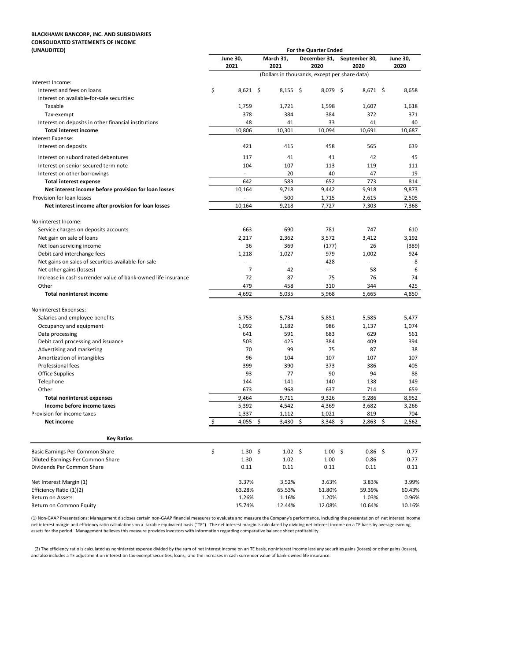## **BLACKHAWK BANCORP, INC. AND SUBSIDIARIES CONSOLIDATED STATEMENTS OF INCOME**

| (UNAUDITED)                                                   |    |                          |    |                    | For the Quarter Ended                         |                       |                  |
|---------------------------------------------------------------|----|--------------------------|----|--------------------|-----------------------------------------------|-----------------------|------------------|
|                                                               |    | <b>June 30,</b><br>2021  |    | March 31,<br>2021  | December 31,<br>2020                          | September 30,<br>2020 | June 30,<br>2020 |
|                                                               |    |                          |    |                    | (Dollars in thousands, except per share data) |                       |                  |
| Interest Income:                                              |    |                          |    |                    |                                               |                       |                  |
| Interest and fees on loans                                    | \$ | $8,621$ \$               |    | $8,155$ \$         | $8,079$ \$                                    | $8,671$ \$            | 8,658            |
| Interest on available-for-sale securities:                    |    |                          |    |                    |                                               |                       |                  |
| Taxable                                                       |    | 1,759                    |    | 1,721              | 1,598                                         | 1,607                 | 1,618            |
| Tax-exempt                                                    |    | 378                      |    | 384                | 384                                           | 372                   | 371              |
| Interest on deposits in other financial institutions          |    | 48                       |    | 41                 | 33                                            | 41                    | 40               |
| <b>Total interest income</b>                                  |    | 10,806                   |    | 10,301             | 10,094                                        | 10,691                | 10,687           |
| Interest Expense:                                             |    |                          |    |                    |                                               |                       |                  |
| Interest on deposits                                          |    | 421                      |    | 415                | 458                                           | 565                   | 639              |
| Interest on subordinated debentures                           |    | 117                      |    | 41                 | 41                                            | 42                    | 45               |
| Interest on senior secured term note                          |    | 104                      |    | 107                | 113                                           | 119                   | 111              |
| Interest on other borrowings                                  |    | ÷.                       |    | 20                 | 40                                            | 47                    | 19               |
| <b>Total interest expense</b>                                 |    | 642                      |    | 583                | 652                                           | 773                   | 814              |
| Net interest income before provision for loan losses          |    | 10,164                   |    | 9,718              | 9,442                                         | 9,918                 | 9,873            |
| Provision for loan losses                                     |    |                          |    | 500                | 1,715                                         | 2,615                 | 2,505            |
| Net interest income after provision for loan losses           |    | 10,164                   |    | 9,218              | 7,727                                         | 7,303                 | 7,368            |
| Noninterest Income:                                           |    |                          |    |                    |                                               |                       |                  |
| Service charges on deposits accounts                          |    | 663                      |    | 690                | 781                                           | 747                   | 610              |
| Net gain on sale of loans                                     |    | 2,217                    |    | 2,362              | 3,572                                         | 3,412                 | 3,192            |
| Net loan servicing income                                     |    | 36                       |    | 369                | (177)                                         | 26                    | (389)            |
| Debit card interchange fees                                   |    | 1,218                    |    | 1,027              | 979                                           | 1,002                 | 924              |
| Net gains on sales of securities available-for-sale           |    | $\overline{\phantom{a}}$ |    | $\overline{a}$     | 428                                           | $\overline{a}$        | 8                |
| Net other gains (losses)                                      |    | $\overline{7}$           |    | 42                 | ÷.                                            | 58                    | 6                |
| Increase in cash surrender value of bank-owned life insurance |    | 72                       |    | 87                 | 75                                            | 76                    | 74               |
| Other                                                         |    | 479                      |    | 458                | 310                                           | 344                   | 425              |
| <b>Total noninterest income</b>                               |    | 4,692                    |    | 5,035              | 5,968                                         | 5,665                 | 4,850            |
| Noninterest Expenses:                                         |    |                          |    |                    |                                               |                       |                  |
| Salaries and employee benefits                                |    | 5,753                    |    | 5,734              | 5,851                                         | 5,585                 | 5,477            |
| Occupancy and equipment                                       |    | 1,092                    |    | 1,182              | 986                                           | 1,137                 | 1,074            |
| Data processing                                               |    | 641                      |    | 591                | 683                                           | 629                   | 561              |
| Debit card processing and issuance                            |    | 503                      |    | 425                | 384                                           | 409                   | 394              |
| Advertising and marketing                                     |    | 70                       |    | 99                 | 75                                            | 87                    | 38               |
| Amortization of intangibles                                   |    | 96                       |    | 104                | 107                                           | 107                   | 107              |
| Professional fees                                             |    | 399                      |    | 390                | 373                                           | 386                   | 405              |
| <b>Office Supplies</b>                                        |    | 93                       |    | 77                 | 90                                            | 94                    | 88<br>149        |
| Telephone<br>Other                                            |    | 144                      |    | 141                | 140                                           | 138                   |                  |
| <b>Total noninterest expenses</b>                             |    | 673<br>9,464             |    | 968<br>9,711       | 637<br>9,326                                  | 714<br>9,286          | 659<br>8,952     |
| Income before income taxes                                    |    | 5,392                    |    | 4,542              | 4,369                                         | 3,682                 | 3,266            |
| Provision for income taxes                                    |    | 1,337                    |    | 1,112              | 1,021                                         | 819                   | 704              |
| Net income                                                    | Ś  | 4.055                    | Ś. | 3.430 <sub>5</sub> | 3.348                                         | Ŝ.<br>2.863           | Ŝ.<br>2.562      |
|                                                               |    |                          |    |                    |                                               |                       |                  |
| <b>Key Ratios</b>                                             |    |                          |    |                    |                                               |                       |                  |
| Basic Earnings Per Common Share                               | \$ | $1.30 \; \text{S}$       |    | $1.02 \quad$ \$    | $1.00 \pm$                                    | $0.86$ \$             | 0.77             |
| Diluted Earnings Per Common Share                             |    | 1.30                     |    | 1.02               | 1.00                                          | 0.86                  | 0.77             |
| Dividends Per Common Share                                    |    | 0.11                     |    | 0.11               | 0.11                                          | 0.11                  | 0.11             |
| Net Interest Margin (1)                                       |    | 3.37%                    |    | 3.52%              | 3.63%                                         | 3.83%                 | 3.99%            |
| Efficiency Ratio (1)(2)                                       |    | 63.28%                   |    | 65.53%             | 61.80%                                        | 59.39%                | 60.43%           |
| Return on Assets                                              |    | 1.26%                    |    | 1.16%              | 1.20%                                         | 1.03%                 | 0.96%            |
| Return on Common Equity                                       |    | 15.74%                   |    | 12.44%             | 12.08%                                        | 10.64%                | 10.16%           |

(1) Non‐GAAP Presentations: Management discloses certain non‐GAAP financial measures to evaluate and measure the Company's performance, including the presentation of net interest income net interest margin and efficiency ratio calculations on a taxable equivalent basis ("TE"). The net interest margin is calculated by dividing net interest income on a TE basis by average earning assets for the period. Management believes this measure provides investors with information regarding comparative balance sheet profitability.

 (2) The efficiency ratio is calculated as noninterest expense divided by the sum of net interest income on an TE basis, noninterest income less any securities gains (losses) or other gains (losses), and also includes a TE adjustment on interest on tax‐exempt securities, loans, and the increases in cash surrender value of bank‐owned life insurance.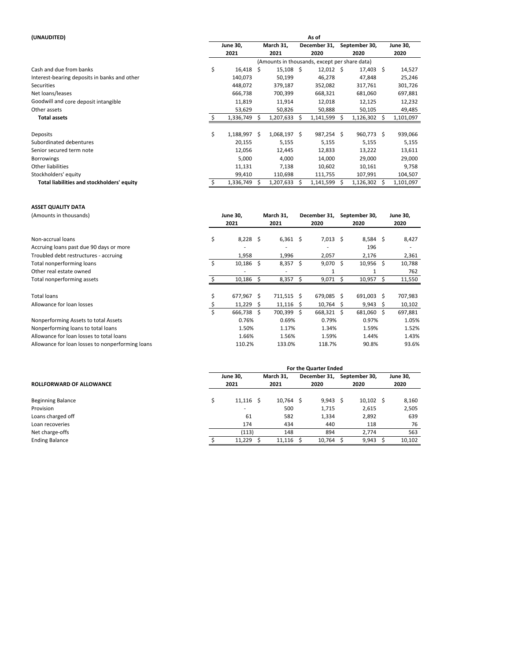| (UNAUDITED)                                  | As of           |    |                                               |  |                   |  |                  |  |           |
|----------------------------------------------|-----------------|----|-----------------------------------------------|--|-------------------|--|------------------|--|-----------|
|                                              | <b>June 30,</b> |    | March 31,                                     |  | December 31,      |  | September 30,    |  | June 30,  |
|                                              | 2021            |    | 2021                                          |  | 2020              |  | 2020             |  | 2020      |
|                                              |                 |    | (Amounts in thousands, except per share data) |  |                   |  |                  |  |           |
| \$<br>Cash and due from banks                | $16,418 \pm 5$  |    | $15,108$ \$                                   |  | $12,012 \quad$ \$ |  | $17,403 \quad $$ |  | 14,527    |
| Interest-bearing deposits in banks and other | 140,073         |    | 50,199                                        |  | 46,278            |  | 47,848           |  | 25,246    |
| <b>Securities</b>                            | 448,072         |    | 379,187                                       |  | 352,082           |  | 317,761          |  | 301,726   |
| Net loans/leases                             | 666,738         |    | 700,399                                       |  | 668,321           |  | 681,060          |  | 697,881   |
| Goodwill and core deposit intangible         | 11,819          |    | 11,914                                        |  | 12,018            |  | 12,125           |  | 12,232    |
| Other assets                                 | 53,629          |    | 50,826                                        |  | 50,888            |  | 50,105           |  | 49,485    |
| <b>Total assets</b>                          | 1,336,749       |    | 1,207,633                                     |  | 1,141,599         |  | 1,126,302        |  | 1,101,097 |
|                                              |                 |    |                                               |  |                   |  |                  |  |           |
| \$<br>Deposits                               | 1,188,997       | Ŝ. | $1,068,197$ \$                                |  | $987,254$ \$      |  | $960,773$ \$     |  | 939,066   |
| Subordinated debentures                      | 20,155          |    | 5,155                                         |  | 5,155             |  | 5,155            |  | 5,155     |
| Senior secured term note                     | 12,056          |    | 12,445                                        |  | 12,833            |  | 13,222           |  | 13,611    |
| <b>Borrowings</b>                            | 5,000           |    | 4,000                                         |  | 14,000            |  | 29,000           |  | 29,000    |
| Other liabilities                            | 11,131          |    | 7,138                                         |  | 10,602            |  | 10,161           |  | 9,758     |
| Stockholders' equity                         | 99,410          |    | 110,698                                       |  | 111,755           |  | 107,991          |  | 104,507   |
| Total liabilities and stockholders' equity   | 1,336,749       |    | 1,207,633                                     |  | 1,141,599         |  | 1,126,302        |  | 1,101,097 |

#### **ASSET QUALITY DATA**

| (Amounts in thousands)                           |    | <b>June 30.</b><br>2021 |   | March 31.<br>2021 |    | December 31,<br>2020 |      | September 30,<br>2020 | June 30,<br>2020 |
|--------------------------------------------------|----|-------------------------|---|-------------------|----|----------------------|------|-----------------------|------------------|
| Non-accrual loans                                | \$ | 8,228                   | Ŝ | 6,361             | Ŝ. | 7,013                | - \$ | $8,584$ \$            | 8,427            |
| Accruing loans past due 90 days or more          |    |                         |   |                   |    |                      |      | 196                   |                  |
| Troubled debt restructures - accruing            |    | 1,958                   |   | 1,996             |    | 2,057                |      | 2,176                 | 2,361            |
| Total nonperforming loans                        | Ŝ. | 10,186                  | Ś | 8,357             | Ś  | 9,070                | Ŝ    | $10,956$ \$           | 10,788           |
| Other real estate owned                          |    |                         |   |                   |    |                      |      |                       | 762              |
| Total nonperforming assets                       |    | 10,186                  |   | 8,357             |    | 9,071                |      | 10,957                | 11,550           |
| <b>Total loans</b>                               | \$ | 677,967                 | Ŝ | 711,515           | Ŝ  | 679,085              | - \$ | 691,003 \$            | 707,983          |
| Allowance for loan losses                        |    | 11,229                  | S | 11,116            | S  | $10,764$ \$          |      | $9,943 \quad $$       | 10,102           |
|                                                  |    | 666,738                 | Ŝ | 700,399           | Ŝ. | 668,321 \$           |      | 681,060 \$            | 697,881          |
| Nonperforming Assets to total Assets             |    | 0.76%                   |   | 0.69%             |    | 0.79%                |      | 0.97%                 | 1.05%            |
| Nonperforming loans to total loans               |    | 1.50%                   |   | 1.17%             |    | 1.34%                |      | 1.59%                 | 1.52%            |
| Allowance for loan losses to total loans         |    | 1.66%                   |   | 1.56%             |    | 1.59%                |      | 1.44%                 | 1.43%            |
| Allowance for loan losses to nonperforming loans |    | 110.2%                  |   | 133.0%            |    | 118.7%               |      | 90.8%                 | 93.6%            |

|                                 | For the Quarter Ended |                 |  |             |  |                 |  |                   |  |          |  |  |  |  |
|---------------------------------|-----------------------|-----------------|--|-------------|--|-----------------|--|-------------------|--|----------|--|--|--|--|
|                                 |                       | <b>June 30,</b> |  | March 31,   |  | December 31,    |  | September 30,     |  | June 30, |  |  |  |  |
| <b>ROLLFORWARD OF ALLOWANCE</b> |                       | 2021            |  | 2021        |  | 2020            |  | 2020              |  | 2020     |  |  |  |  |
| <b>Beginning Balance</b>        |                       | $11,116$ \$     |  | $10,764$ \$ |  | $9,943 \quad $$ |  | $10,102 \quad$ \$ |  | 8,160    |  |  |  |  |
| Provision                       |                       |                 |  | 500         |  | 1,715           |  | 2,615             |  | 2,505    |  |  |  |  |
| Loans charged off               |                       | 61              |  | 582         |  | 1,334           |  | 2,892             |  | 639      |  |  |  |  |
| Loan recoveries                 |                       | 174             |  | 434         |  | 440             |  | 118               |  | 76       |  |  |  |  |
| Net charge-offs                 |                       | (113)           |  | 148         |  | 894             |  | 2.774             |  | 563      |  |  |  |  |
| <b>Ending Balance</b>           |                       | 11.229          |  | $11.116$ \$ |  | 10,764 \$       |  | 9,943             |  | 10,102   |  |  |  |  |
|                                 |                       |                 |  |             |  |                 |  |                   |  |          |  |  |  |  |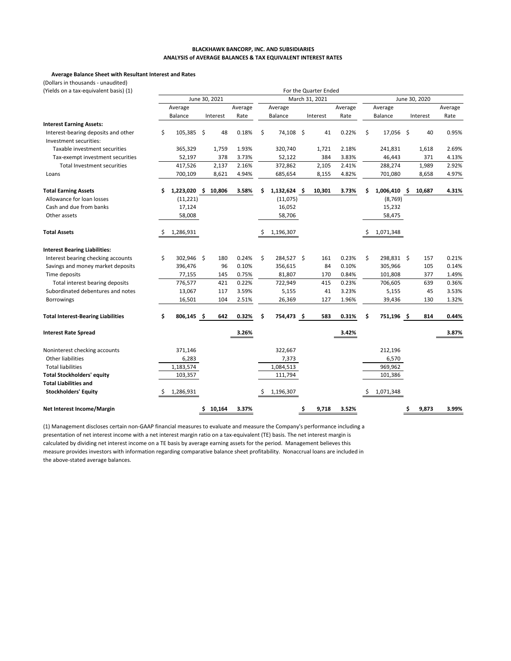#### **BLACKHAWK BANCORP, INC. AND SUBSIDIARIES ANALYSIS of AVERAGE BALANCES & TAX EQUIVALENT INTEREST RATES**

#### **Average Balance Sheet with Resultant Interest and Rates**

(Dollars in thousands ‐ unaudited)

| (Yields on a tax-equivalent basis) (1)                        | For the Quarter Ended |                     |  |               |         |    |                |  |                |         |               |                |  |          |         |
|---------------------------------------------------------------|-----------------------|---------------------|--|---------------|---------|----|----------------|--|----------------|---------|---------------|----------------|--|----------|---------|
|                                                               |                       |                     |  | June 30, 2021 |         |    |                |  | March 31, 2021 |         | June 30, 2020 |                |  |          |         |
|                                                               |                       | Average             |  |               | Average |    | Average        |  |                | Average |               | Average        |  |          | Average |
|                                                               |                       | <b>Balance</b>      |  | Interest      | Rate    |    | <b>Balance</b> |  | Interest       | Rate    |               | <b>Balance</b> |  | Interest | Rate    |
| <b>Interest Earning Assets:</b>                               |                       |                     |  |               |         |    |                |  |                |         |               |                |  |          |         |
| Interest-bearing deposits and other<br>Investment securities: | \$                    | 105,385 \$          |  | 48            | 0.18%   | \$ | 74,108 \$      |  | 41             | 0.22%   | \$            | 17,056 \$      |  | 40       | 0.95%   |
| Taxable investment securities                                 |                       | 365,329             |  | 1,759         | 1.93%   |    | 320,740        |  | 1,721          | 2.18%   |               | 241,831        |  | 1,618    | 2.69%   |
| Tax-exempt investment securities                              |                       | 52,197              |  | 378           | 3.73%   |    | 52,122         |  | 384            | 3.83%   |               | 46,443         |  | 371      | 4.13%   |
| <b>Total Investment securities</b>                            |                       | 417,526             |  | 2,137         | 2.16%   |    | 372,862        |  | 2,105          | 2.41%   |               | 288,274        |  | 1,989    | 2.92%   |
| Loans                                                         |                       | 700,109             |  | 8,621         | 4.94%   |    | 685,654        |  | 8,155          | 4.82%   |               | 701,080        |  | 8,658    | 4.97%   |
| <b>Total Earning Assets</b>                                   | \$                    | 1,223,020 \$ 10,806 |  |               | 3.58%   | Ś. | 1,132,624 \$   |  | 10,301         | 3.73%   | \$            | $1,006,410$ \$ |  | 10,687   | 4.31%   |
| Allowance for loan losses                                     |                       | (11, 221)           |  |               |         |    | (11,075)       |  |                |         |               | (8, 769)       |  |          |         |
| Cash and due from banks                                       |                       | 17,124              |  |               |         |    | 16,052         |  |                |         |               | 15,232         |  |          |         |
| Other assets                                                  |                       | 58,008              |  |               |         |    | 58,706         |  |                |         |               | 58,475         |  |          |         |
| <b>Total Assets</b>                                           | Ŝ.                    | 1,286,931           |  |               |         | Ś  | 1,196,307      |  |                |         | Ŝ             | 1,071,348      |  |          |         |
| <b>Interest Bearing Liabilities:</b>                          |                       |                     |  |               |         |    |                |  |                |         |               |                |  |          |         |
| Interest bearing checking accounts                            | \$                    | 302,946 \$          |  | 180           | 0.24%   | \$ | 284,527 \$     |  | 161            | 0.23%   | \$            | 298,831 \$     |  | 157      | 0.21%   |
| Savings and money market deposits                             |                       | 396,476             |  | 96            | 0.10%   |    | 356,615        |  | 84             | 0.10%   |               | 305,966        |  | 105      | 0.14%   |
| Time deposits                                                 |                       | 77,155              |  | 145           | 0.75%   |    | 81,807         |  | 170            | 0.84%   |               | 101,808        |  | 377      | 1.49%   |
| Total interest bearing deposits                               |                       | 776,577             |  | 421           | 0.22%   |    | 722,949        |  | 415            | 0.23%   |               | 706,605        |  | 639      | 0.36%   |
| Subordinated debentures and notes                             |                       | 13,067              |  | 117           | 3.59%   |    | 5,155          |  | 41             | 3.23%   |               | 5,155          |  | 45       | 3.53%   |
| <b>Borrowings</b>                                             |                       | 16,501              |  | 104           | 2.51%   |    | 26,369         |  | 127            | 1.96%   |               | 39,436         |  | 130      | 1.32%   |
| <b>Total Interest-Bearing Liabilities</b>                     | \$                    | 806,145 \$          |  | 642           | 0.32%   | \$ | 754,473 \$     |  | 583            | 0.31%   | \$            | 751,196 \$     |  | 814      | 0.44%   |
| <b>Interest Rate Spread</b>                                   |                       |                     |  |               | 3.26%   |    |                |  |                | 3.42%   |               |                |  |          | 3.87%   |
| Noninterest checking accounts                                 |                       | 371,146             |  |               |         |    | 322,667        |  |                |         |               | 212,196        |  |          |         |
| Other liabilities                                             |                       | 6,283               |  |               |         |    | 7,373          |  |                |         |               | 6,570          |  |          |         |
| <b>Total liabilities</b>                                      |                       | 1,183,574           |  |               |         |    | 1,084,513      |  |                |         |               | 969,962        |  |          |         |
| <b>Total Stockholders' equity</b>                             |                       | 103,357             |  |               |         |    | 111,794        |  |                |         |               | 101,386        |  |          |         |
| <b>Total Liabilities and</b>                                  |                       |                     |  |               |         |    |                |  |                |         |               |                |  |          |         |
| <b>Stockholders' Equity</b>                                   |                       | 1,286,931           |  |               |         |    | 1,196,307      |  |                |         |               | 1,071,348      |  |          |         |
| Net Interest Income/Margin                                    |                       |                     |  | 10,164        | 3.37%   |    |                |  | 9,718          | 3.52%   |               |                |  | 9,873    | 3.99%   |

(1) Management discloses certain non‐GAAP financial measures to evaluate and measure the Company's performance including a presentation of net interest income with a net interest margin ratio on a tax‐equivalent (TE) basis. The net interest margin is calculated by dividing net interest income on a TE basis by average earning assets for the period. Management believes this measure provides investors with information regarding comparative balance sheet profitability. Nonaccrual loans are included in the above‐stated average balances.